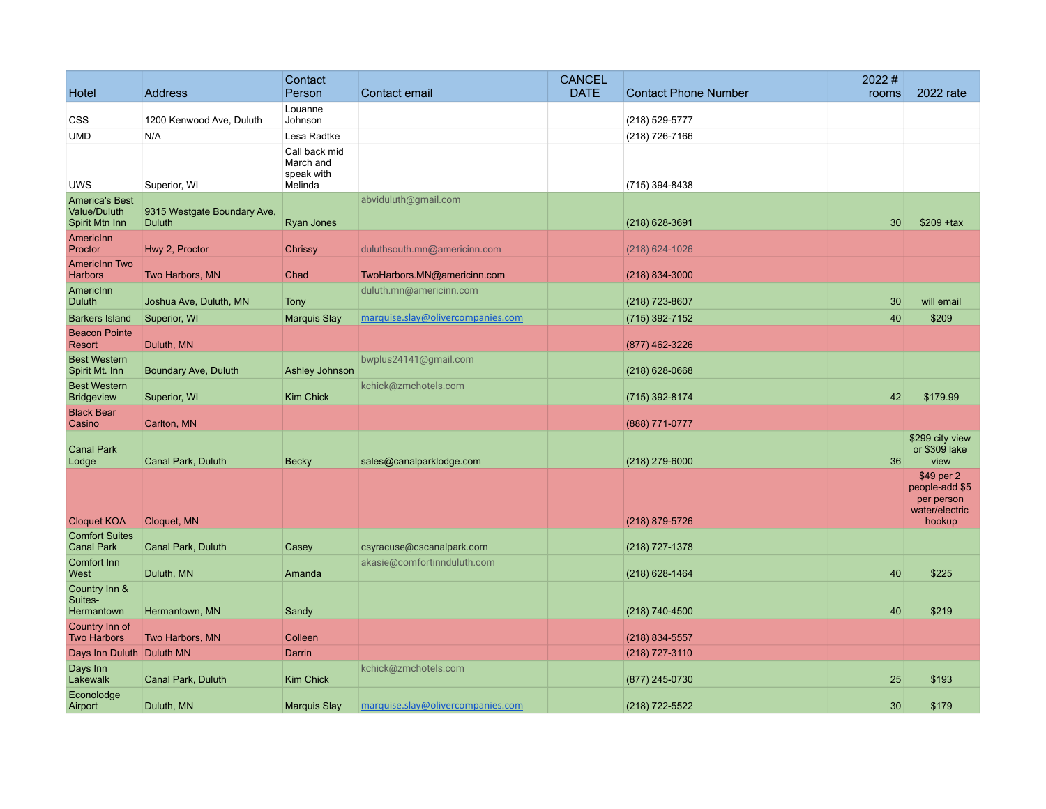| Hotel                                                   | <b>Address</b>                        | Contact<br>Person                                   | Contact email                     | <b>CANCEL</b><br><b>DATE</b> | <b>Contact Phone Number</b> | 2022#<br>rooms | 2022 rate                                                              |
|---------------------------------------------------------|---------------------------------------|-----------------------------------------------------|-----------------------------------|------------------------------|-----------------------------|----------------|------------------------------------------------------------------------|
|                                                         |                                       | Louanne                                             |                                   |                              |                             |                |                                                                        |
| CSS                                                     | 1200 Kenwood Ave, Duluth              | Johnson                                             |                                   |                              | (218) 529-5777              |                |                                                                        |
| UMD                                                     | N/A                                   | Lesa Radtke                                         |                                   |                              | (218) 726-7166              |                |                                                                        |
| UWS                                                     | Superior, WI                          | Call back mid<br>March and<br>speak with<br>Melinda |                                   |                              | (715) 394-8438              |                |                                                                        |
| <b>America's Best</b><br>Value/Duluth<br>Spirit Mtn Inn | 9315 Westgate Boundary Ave,<br>Duluth | Ryan Jones                                          | abviduluth@gmail.com              |                              | $(218)$ 628-3691            | 30             | $$209$ +tax                                                            |
| <b>Americinn</b><br>Proctor                             | Hwy 2, Proctor                        | Chrissy                                             | duluthsouth.mn@americinn.com      |                              | $(218)$ 624-1026            |                |                                                                        |
| <b>Americinn Two</b><br><b>Harbors</b>                  | Two Harbors, MN                       | Chad                                                | TwoHarbors.MN@americinn.com       |                              | $(218) 834 - 3000$          |                |                                                                        |
| AmericInn<br>Duluth                                     | Joshua Ave, Duluth, MN                | <b>Tony</b>                                         | duluth.mn@americinn.com           |                              | (218) 723-8607              | 30             | will email                                                             |
| <b>Barkers Island</b>                                   | Superior, WI                          | <b>Marquis Slay</b>                                 | marquise.slay@olivercompanies.com |                              | (715) 392-7152              | 40             | \$209                                                                  |
| <b>Beacon Pointe</b>                                    |                                       |                                                     |                                   |                              |                             |                |                                                                        |
| Resort                                                  | Duluth, MN                            |                                                     |                                   |                              | (877) 462-3226              |                |                                                                        |
| <b>Best Western</b><br>Spirit Mt. Inn                   | Boundary Ave, Duluth                  | Ashley Johnson                                      | bwplus24141@gmail.com             |                              | $(218)$ 628-0668            |                |                                                                        |
| <b>Best Western</b><br><b>Bridgeview</b>                | Superior, WI                          | <b>Kim Chick</b>                                    | kchick@zmchotels.com              |                              | (715) 392-8174              | 42             | \$179.99                                                               |
| <b>Black Bear</b><br>Casino                             | Carlton, MN                           |                                                     |                                   |                              | (888) 771-0777              |                |                                                                        |
| <b>Canal Park</b><br>Lodge                              | Canal Park, Duluth                    | <b>Becky</b>                                        | sales@canalparklodge.com          |                              | $(218)$ 279-6000            | 36             | \$299 city view<br>or \$309 lake<br>view                               |
| <b>Cloquet KOA</b>                                      | Cloquet, MN                           |                                                     |                                   |                              | (218) 879-5726              |                | \$49 per 2<br>people-add \$5<br>per person<br>water/electric<br>hookup |
| <b>Comfort Suites</b><br><b>Canal Park</b>              | Canal Park, Duluth                    | Casey                                               | csyracuse@cscanalpark.com         |                              | (218) 727-1378              |                |                                                                        |
| Comfort Inn<br>West                                     | Duluth, MN                            | Amanda                                              | akasie@comfortinnduluth.com       |                              | $(218)$ 628-1464            | 40             | \$225                                                                  |
| Country Inn &<br>Suites-                                |                                       |                                                     |                                   |                              |                             |                |                                                                        |
| Hermantown                                              | Hermantown, MN                        | Sandy                                               |                                   |                              | (218) 740-4500              | 40             | \$219                                                                  |
| Country Inn of<br><b>Two Harbors</b>                    | Two Harbors, MN                       | Colleen                                             |                                   |                              | $(218)$ 834-5557            |                |                                                                        |
| Days Inn Duluth Duluth MN                               |                                       | Darrin                                              |                                   |                              | $(218)$ 727-3110            |                |                                                                        |
| Days Inn<br>Lakewalk                                    | Canal Park, Duluth                    | <b>Kim Chick</b>                                    | kchick@zmchotels.com              |                              | (877) 245-0730              | 25             | \$193                                                                  |
| Econolodge<br>Airport                                   | Duluth, MN                            | <b>Marquis Slay</b>                                 | marquise.slay@olivercompanies.com |                              | (218) 722-5522              | 30             | \$179                                                                  |